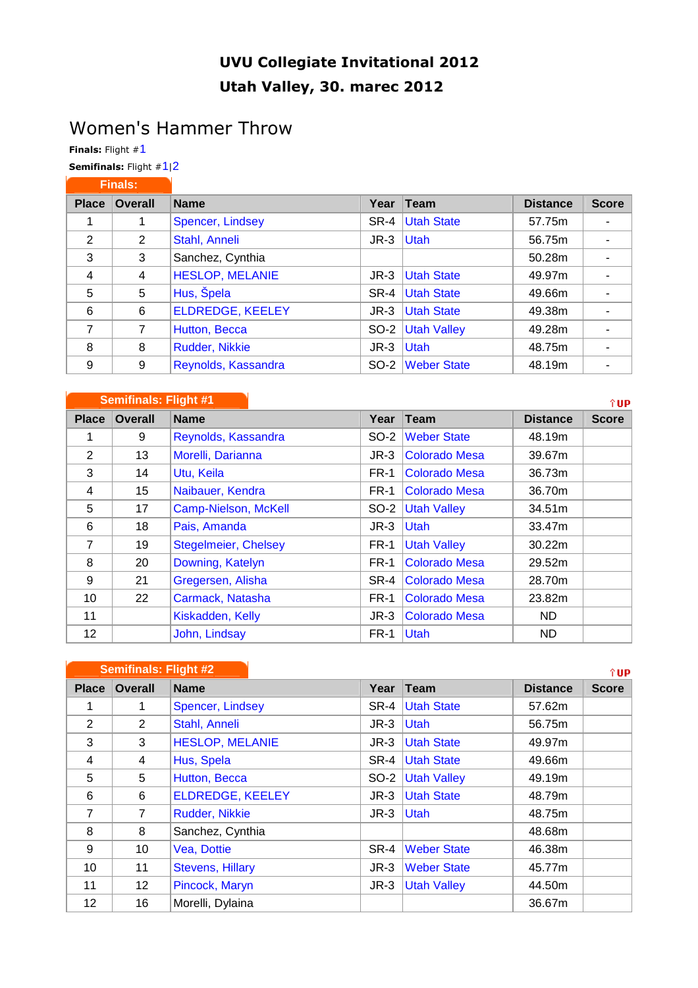## UVU Collegiate Invitational 2012 Utah Valley, 30. marec 2012

## Women's Hammer Throw

Finals: Flight #1

Semifinals: Flight #1|2

| <b>Finals:</b> |                |                         |        |                    |                 |              |
|----------------|----------------|-------------------------|--------|--------------------|-----------------|--------------|
| <b>Place</b>   | <b>Overall</b> | <b>Name</b>             | Year   | <b>Team</b>        | <b>Distance</b> | <b>Score</b> |
|                |                | Spencer, Lindsey        | SR-4   | <b>Utah State</b>  | 57.75m          |              |
| 2              | 2              | Stahl, Anneli           | $JR-3$ | <b>Utah</b>        | 56.75m          |              |
| 3              | 3              | Sanchez, Cynthia        |        |                    | 50.28m          |              |
| $\overline{4}$ | 4              | <b>HESLOP, MELANIE</b>  | $JR-3$ | <b>Utah State</b>  | 49.97m          |              |
| 5              | 5              | Hus, Špela              | SR-4   | <b>Utah State</b>  | 49.66m          |              |
| 6              | 6              | <b>ELDREDGE, KEELEY</b> | $JR-3$ | <b>Utah State</b>  | 49.38m          |              |
| 7              | 7              | Hutton, Becca           | SO-2   | <b>Utah Valley</b> | 49.28m          |              |
| 8              | 8              | Rudder, Nikkie          | $JR-3$ | <b>Utah</b>        | 48.75m          |              |
| 9              | 9              | Reynolds, Kassandra     | $SO-2$ | <b>Weber State</b> | 48.19m          |              |

|              | <b>Semifinals: Flight #1</b> |                             |             |                      |                 | î UP.        |
|--------------|------------------------------|-----------------------------|-------------|----------------------|-----------------|--------------|
| <b>Place</b> | <b>Overall</b>               | <b>Name</b>                 | Year        | Team                 | <b>Distance</b> | <b>Score</b> |
| 1            | 9                            | Reynolds, Kassandra         | SO-2        | <b>Weber State</b>   | 48.19m          |              |
| 2            | 13                           | Morelli, Darianna           | $JR-3$      | <b>Colorado Mesa</b> | 39.67m          |              |
| 3            | 14                           | Utu, Keila                  | <b>FR-1</b> | <b>Colorado Mesa</b> | 36.73m          |              |
| 4            | 15                           | Naibauer, Kendra            | FR-1        | <b>Colorado Mesa</b> | 36.70m          |              |
| 5            | 17                           | Camp-Nielson, McKell        | $SO-2$      | <b>Utah Valley</b>   | 34.51m          |              |
| 6            | 18                           | Pais, Amanda                | $JR-3$      | <b>Utah</b>          | 33.47m          |              |
| 7            | 19                           | <b>Stegelmeier, Chelsey</b> | FR-1        | <b>Utah Valley</b>   | 30.22m          |              |
| 8            | 20                           | Downing, Katelyn            | <b>FR-1</b> | <b>Colorado Mesa</b> | 29.52m          |              |
| 9            | 21                           | Gregersen, Alisha           | SR-4        | <b>Colorado Mesa</b> | 28.70m          |              |
| 10           | 22                           | Carmack, Natasha            | <b>FR-1</b> | <b>Colorado Mesa</b> | 23.82m          |              |
| 11           |                              | Kiskadden, Kelly            | $JR-3$      | <b>Colorado Mesa</b> | ND.             |              |
| 12           |                              | John, Lindsay               | FR-1        | <b>Utah</b>          | ND              |              |

|                 | <b>Semifinals: Flight #2</b> |                         |        |                    |                 | îUP          |
|-----------------|------------------------------|-------------------------|--------|--------------------|-----------------|--------------|
| <b>Place</b>    | <b>Overall</b>               | <b>Name</b>             | Year   | <b>Team</b>        | <b>Distance</b> | <b>Score</b> |
|                 | 1                            | <b>Spencer, Lindsey</b> | SR-4   | <b>Utah State</b>  | 57.62m          |              |
| 2               | $\overline{2}$               | Stahl, Anneli           | $JR-3$ | Utah               | 56.75m          |              |
| 3               | 3                            | <b>HESLOP, MELANIE</b>  | $JR-3$ | <b>Utah State</b>  | 49.97m          |              |
| $\overline{4}$  | 4                            | Hus, Spela              | SR-4   | <b>Utah State</b>  | 49.66m          |              |
| 5               | 5                            | Hutton, Becca           | SO-2   | <b>Utah Valley</b> | 49.19m          |              |
| 6               | 6                            | <b>ELDREDGE, KEELEY</b> | $JR-3$ | <b>Utah State</b>  | 48.79m          |              |
| $\overline{7}$  | 7                            | Rudder, Nikkie          | $JR-3$ | <b>Utah</b>        | 48.75m          |              |
| 8               | 8                            | Sanchez, Cynthia        |        |                    | 48.68m          |              |
| 9               | 10                           | Vea, Dottie             | SR-4   | <b>Weber State</b> | 46.38m          |              |
| 10              | 11                           | <b>Stevens, Hillary</b> | $JR-3$ | <b>Weber State</b> | 45.77m          |              |
| 11              | 12                           | Pincock, Maryn          | $JR-3$ | <b>Utah Valley</b> | 44.50m          |              |
| 12 <sup>2</sup> | 16                           | Morelli, Dylaina        |        |                    | 36.67m          |              |